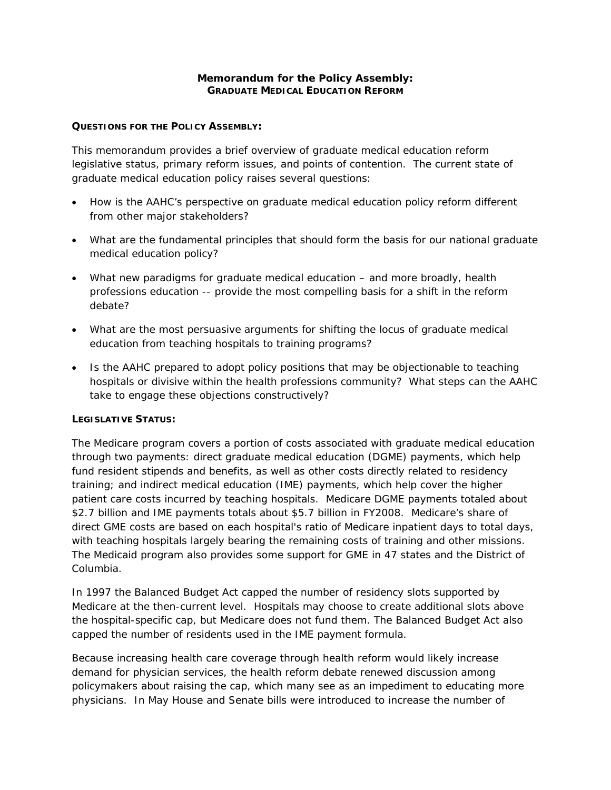# **Memorandum for the Policy Assembly: GRADUATE MEDICAL EDUCATION REFORM**

# **QUESTIONS FOR THE POLICY ASSEMBLY:**

This memorandum provides a brief overview of graduate medical education reform legislative status, primary reform issues, and points of contention. The current state of graduate medical education policy raises several questions:

- *How is the AAHC's perspective on graduate medical education policy reform different from other major stakeholders?*
- *What are the fundamental principles that should form the basis for our national graduate medical education policy?*
- *What new paradigms for graduate medical education and more broadly, health professions education -- provide the most compelling basis for a shift in the reform debate?*
- *What are the most persuasive arguments for shifting the locus of graduate medical education from teaching hospitals to training programs?*
- *Is the AAHC prepared to adopt policy positions that may be objectionable to teaching hospitals or divisive within the health professions community? What steps can the AAHC take to engage these objections constructively?*

# **LEGISLATIVE STATUS:**

The Medicare program covers a portion of costs associated with graduate medical education through two payments: direct graduate medical education (DGME) payments, which help fund resident stipends and benefits, as well as other costs directly related to residency training; and indirect medical education (IME) payments, which help cover the higher patient care costs incurred by teaching hospitals. Medicare DGME payments totaled about \$2.7 billion and IME payments totals about \$5.7 billion in FY2008. Medicare's share of direct GME costs are based on each hospital's ratio of Medicare inpatient days to total days, with teaching hospitals largely bearing the remaining costs of training and other missions. The Medicaid program also provides some support for GME in 47 states and the District of Columbia.

In 1997 the Balanced Budget Act capped the number of residency slots supported by Medicare at the then-current level. Hospitals may choose to create additional slots above the hospital-specific cap, but Medicare does not fund them. The Balanced Budget Act also capped the number of residents used in the IME payment formula.

Because increasing health care coverage through health reform would likely increase demand for physician services, the health reform debate renewed discussion among policymakers about raising the cap, which many see as an impediment to educating more physicians. In May House and Senate bills were introduced to increase the number of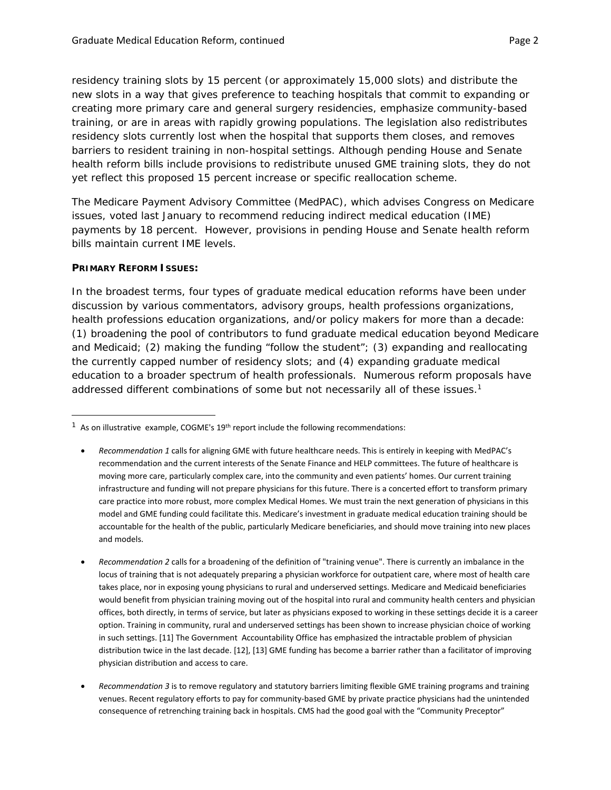residency training slots by 15 percent (or approximately 15,000 slots) and distribute the new slots in a way that gives preference to teaching hospitals that commit to expanding or creating more primary care and general surgery residencies, emphasize community-based training, or are in areas with rapidly growing populations. The legislation also redistributes residency slots currently lost when the hospital that supports them closes, and removes barriers to resident training in non-hospital settings. Although pending House and Senate health reform bills include provisions to redistribute unused GME training slots, they do not yet reflect this proposed 15 percent increase or specific reallocation scheme.

The Medicare Payment Advisory Committee (MedPAC), which advises Congress on Medicare issues, voted last January to recommend reducing indirect medical education (IME) payments by 18 percent. However, provisions in pending House and Senate health reform bills maintain current IME levels.

### **PRIMARY REFORM ISSUES:**

In the broadest terms, four types of graduate medical education reforms have been under discussion by various commentators, advisory groups, health professions organizations, health professions education organizations, and/or policy makers for more than a decade: (1) broadening the pool of contributors to fund graduate medical education beyond Medicare and Medicaid; (2) making the funding "follow the student"; (3) expanding and reallocating the currently capped number of residency slots; and (4) expanding graduate medical education to a broader spectrum of health professionals. Numerous reform proposals have addressed different combinations of some but not necessarily all of these issues.<sup>1</sup>

 $1$  As on illustrative example, COGME's 19<sup>th</sup> report include the following recommendations:

*Recommendation 1* calls for aligning GME with future healthcare needs. This is entirely in keeping with MedPAC's recommendation and the current interests of the Senate Finance and HELP committees. The future of healthcare is moving more care, particularly complex care, into the community and even patients' homes. Our current training infrastructure and funding will not prepare physicians for this future. There is a concerted effort to transform primary care practice into more robust, more complex Medical Homes. We must train the next generation of physicians in this model and GME funding could facilitate this. Medicare's investment in graduate medical education training should be accountable for the health of the public, particularly Medicare beneficiaries, and should move training into new places and models.

*Recommendation 2* calls for a broadening of the definition of "training venue". There is currently an imbalance in the locus of training that is not adequately preparing a physician workforce for outpatient care, where most of health care takes place, nor in exposing young physicians to rural and underserved settings. Medicare and Medicaid beneficiaries would benefit from physician training moving out of the hospital into rural and community health centers and physician offices, both directly, in terms of service, but later as physicians exposed to working in these settings decide it is a career option. Training in community, rural and underserved settings has been shown to increase physician choice of working in such settings. [11] The Government Accountability Office has emphasized the intractable problem of physician distribution twice in the last decade. [12], [13] GME funding has become a barrier rather than a facilitator of improving physician distribution and access to care.

*Recommendation 3* is to remove regulatory and statutory barriers limiting flexible GME training programs and training venues. Recent regulatory efforts to pay for community‐based GME by private practice physicians had the unintended consequence of retrenching training back in hospitals. CMS had the good goal with the "Community Preceptor"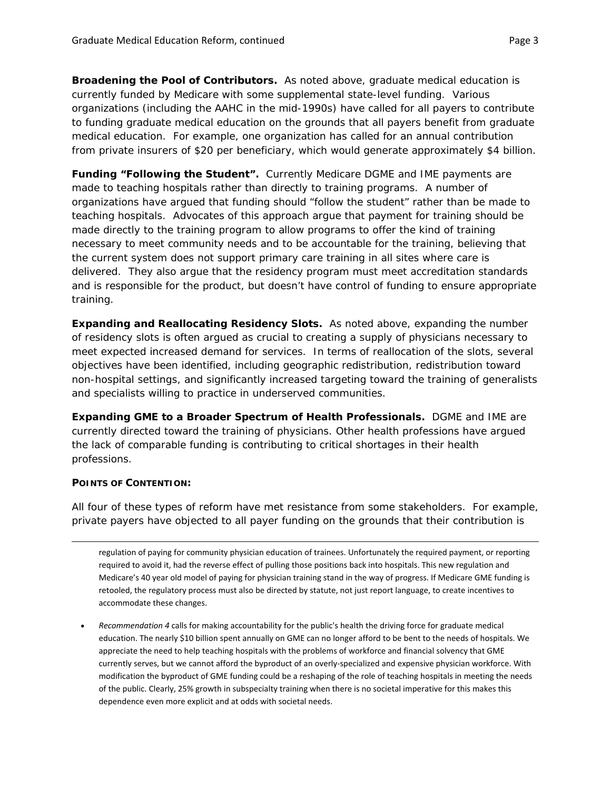*Broadening the Pool of Contributors***.** As noted above, graduate medical education is currently funded by Medicare with some supplemental state-level funding. Various organizations (including the AAHC in the mid-1990s) have called for all payers to contribute to funding graduate medical education on the grounds that all payers benefit from graduate medical education. For example, one organization has called for an annual contribution from private insurers of \$20 per beneficiary, which would generate approximately \$4 billion.

*Funding "Following the Student".* Currently Medicare DGME and IME payments are made to teaching hospitals rather than directly to training programs. A number of organizations have argued that funding should "follow the student" rather than be made to teaching hospitals. Advocates of this approach argue that payment for training should be made directly to the training program to allow programs to offer the kind of training necessary to meet community needs and to be accountable for the training, believing that the current system does not support primary care training in all sites where care is delivered. They also argue that the residency program must meet accreditation standards and is responsible for the product, but doesn't have control of funding to ensure appropriate training.

*Expanding and Reallocating Residency Slots***.** As noted above, expanding the number of residency slots is often argued as crucial to creating a supply of physicians necessary to meet expected increased demand for services. In terms of reallocation of the slots, several objectives have been identified, including geographic redistribution, redistribution toward non-hospital settings, and significantly increased targeting toward the training of generalists and specialists willing to practice in underserved communities.

*Expanding GME to a Broader Spectrum of Health Professionals***.** DGME and IME are currently directed toward the training of physicians. Other health professions have argued the lack of comparable funding is contributing to critical shortages in their health professions.

# **POINTS OF CONTENTION:**

All four of these types of reform have met resistance from some stakeholders. For example, private payers have objected to all payer funding on the grounds that their contribution is

<u> 1989 - Johann Stein, marwolaethau a gweledydd a ganlad y ganlad y ganlad y ganlad y ganlad y ganlad y ganlad</u>

regulation of paying for community physician education of trainees. Unfortunately the required payment, or reporting required to avoid it, had the reverse effect of pulling those positions back into hospitals. This new regulation and Medicare's 40 year old model of paying for physician training stand in the way of progress. If Medicare GME funding is retooled, the regulatory process must also be directed by statute, not just report language, to create incentives to accommodate these changes.

 *Recommendation 4* calls for making accountability for the public's health the driving force for graduate medical education. The nearly \$10 billion spent annually on GME can no longer afford to be bent to the needs of hospitals. We appreciate the need to help teaching hospitals with the problems of workforce and financial solvency that GME currently serves, but we cannot afford the byproduct of an overly‐specialized and expensive physician workforce. With modification the byproduct of GME funding could be a reshaping of the role of teaching hospitals in meeting the needs of the public. Clearly, 25% growth in subspecialty training when there is no societal imperative for this makes this dependence even more explicit and at odds with societal needs.